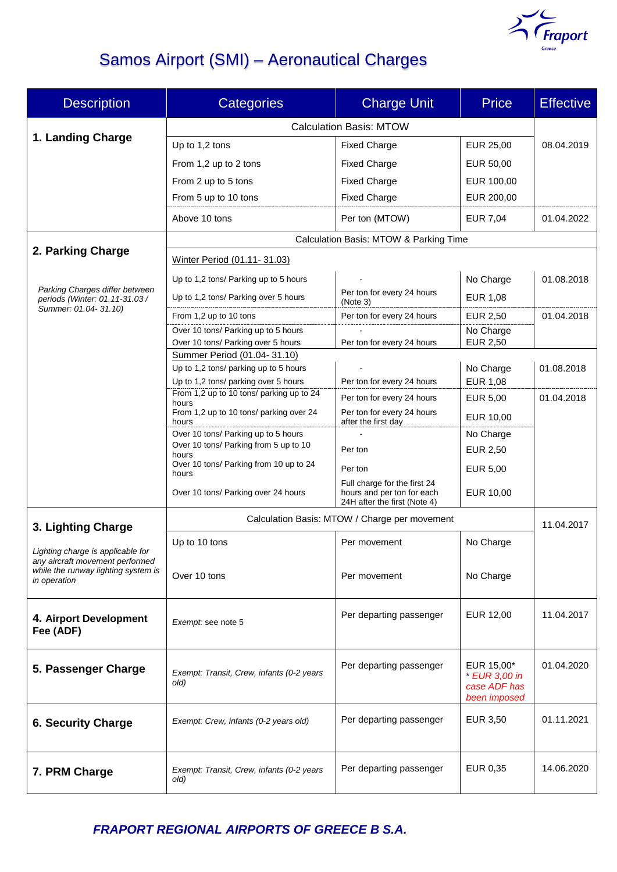

# Samos Airport (SMI) – Aeronautical Charges

| <b>Description</b>                                                                                                          | <b>Categories</b>                                                    | <b>Charge Unit</b>                                         | <b>Price</b>                 | <b>Effective</b> |  |
|-----------------------------------------------------------------------------------------------------------------------------|----------------------------------------------------------------------|------------------------------------------------------------|------------------------------|------------------|--|
|                                                                                                                             | <b>Calculation Basis: MTOW</b>                                       |                                                            |                              |                  |  |
| 1. Landing Charge                                                                                                           | Up to 1,2 tons                                                       | <b>Fixed Charge</b>                                        | EUR 25,00                    | 08.04.2019       |  |
|                                                                                                                             | From 1,2 up to 2 tons                                                | <b>Fixed Charge</b>                                        | EUR 50,00                    |                  |  |
|                                                                                                                             | From 2 up to 5 tons                                                  | <b>Fixed Charge</b>                                        | EUR 100,00                   |                  |  |
|                                                                                                                             | From 5 up to 10 tons                                                 | <b>Fixed Charge</b>                                        | EUR 200,00                   |                  |  |
|                                                                                                                             | Above 10 tons                                                        | Per ton (MTOW)                                             | <b>EUR 7,04</b>              | 01.04.2022       |  |
|                                                                                                                             | Calculation Basis: MTOW & Parking Time                               |                                                            |                              |                  |  |
| 2. Parking Charge                                                                                                           | Winter Period (01.11-31.03)                                          |                                                            |                              |                  |  |
| Parking Charges differ between<br>periods (Winter: 01.11-31.03 /                                                            | Up to 1,2 tons/ Parking up to 5 hours                                |                                                            | No Charge                    | 01.08.2018       |  |
|                                                                                                                             | Up to 1,2 tons/ Parking over 5 hours                                 | Per ton for every 24 hours                                 | EUR 1,08                     |                  |  |
| Summer: 01.04-31.10)                                                                                                        | From 1,2 up to 10 tons                                               | (Note 3)<br>Per ton for every 24 hours                     | <b>EUR 2,50</b>              | 01.04.2018       |  |
|                                                                                                                             | Over 10 tons/ Parking up to 5 hours                                  |                                                            | No Charge                    |                  |  |
|                                                                                                                             | Over 10 tons/ Parking over 5 hours                                   | Per ton for every 24 hours                                 | EUR 2,50                     |                  |  |
|                                                                                                                             | Summer Period (01.04-31.10)<br>Up to 1,2 tons/ parking up to 5 hours |                                                            | No Charge                    | 01.08.2018       |  |
|                                                                                                                             | Up to 1,2 tons/ parking over 5 hours                                 | Per ton for every 24 hours                                 | EUR 1,08                     |                  |  |
|                                                                                                                             | From 1,2 up to 10 tons/ parking up to 24                             | Per ton for every 24 hours                                 | <b>EUR 5,00</b>              | 01.04.2018       |  |
|                                                                                                                             | hours<br>From 1,2 up to 10 tons/ parking over 24                     | Per ton for every 24 hours                                 | EUR 10,00                    |                  |  |
|                                                                                                                             | hours<br>Over 10 tons/ Parking up to 5 hours                         | after the first day                                        | No Charge                    |                  |  |
|                                                                                                                             | Over 10 tons/ Parking from 5 up to 10                                | Per ton                                                    | EUR 2,50                     |                  |  |
|                                                                                                                             | hours<br>Over 10 tons/ Parking from 10 up to 24                      | Per ton                                                    | EUR 5,00                     |                  |  |
|                                                                                                                             | hours                                                                | Full charge for the first 24                               |                              |                  |  |
|                                                                                                                             | Over 10 tons/ Parking over 24 hours                                  | hours and per ton for each<br>24H after the first (Note 4) | EUR 10,00                    |                  |  |
| 3. Lighting Charge                                                                                                          | Calculation Basis: MTOW / Charge per movement                        |                                                            |                              | 11.04.2017       |  |
| Lighting charge is applicable for<br>any aircraft movement performed<br>while the runway lighting system is<br>in operation | Up to 10 tons                                                        | Per movement                                               | No Charge                    |                  |  |
|                                                                                                                             |                                                                      |                                                            |                              |                  |  |
|                                                                                                                             | Over 10 tons                                                         | Per movement                                               | No Charge                    |                  |  |
|                                                                                                                             |                                                                      |                                                            |                              |                  |  |
| 4. Airport Development                                                                                                      | Exempt: see note 5                                                   | Per departing passenger                                    | EUR 12,00                    | 11.04.2017       |  |
| Fee (ADF)                                                                                                                   |                                                                      |                                                            |                              |                  |  |
|                                                                                                                             |                                                                      | Per departing passenger                                    | EUR 15,00*                   | 01.04.2020       |  |
| 5. Passenger Charge                                                                                                         | Exempt: Transit, Crew, infants (0-2 years<br>old)                    |                                                            | * EUR 3,00 in                |                  |  |
|                                                                                                                             |                                                                      |                                                            | case ADF has<br>been imposed |                  |  |
| <b>6. Security Charge</b>                                                                                                   | Exempt: Crew, infants (0-2 years old)                                | Per departing passenger                                    | EUR 3,50                     | 01.11.2021       |  |
|                                                                                                                             |                                                                      |                                                            |                              |                  |  |
|                                                                                                                             |                                                                      |                                                            |                              |                  |  |
| 7. PRM Charge                                                                                                               | Exempt: Transit, Crew, infants (0-2 years<br>old)                    | Per departing passenger                                    | EUR 0,35                     | 14.06.2020       |  |
|                                                                                                                             |                                                                      |                                                            |                              |                  |  |

*FRAPORT REGIONAL AIRPORTS OF GREECE B S.A.*